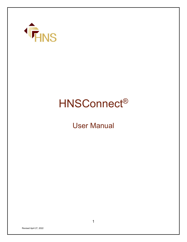

# HNSConnect®

User Manual

Revised April 27, 2022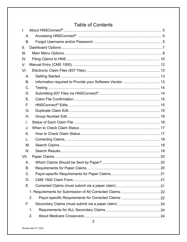# **Table of Contents**

| L.   |    |  |
|------|----|--|
| Α.   |    |  |
| B.   |    |  |
| Π.   |    |  |
| III. |    |  |
| IV.  |    |  |
| V.   |    |  |
| VI.  |    |  |
| А.   |    |  |
| B.   |    |  |
| C.   |    |  |
| D.   |    |  |
| Е.   |    |  |
| F.   |    |  |
| G.   |    |  |
| Η.   |    |  |
| L.   |    |  |
| J.   |    |  |
| K.   |    |  |
| L.   |    |  |
| М.   |    |  |
| N.   |    |  |
| VII. |    |  |
| А.   |    |  |
| B.   |    |  |
| C.   |    |  |
| D.   |    |  |
| Е.   |    |  |
|      |    |  |
|      | 2. |  |
| F.   |    |  |
| 1.   |    |  |
| 2.   |    |  |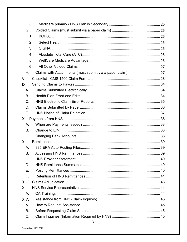|           | 3.            |  |
|-----------|---------------|--|
| G.        |               |  |
|           | $\mathbf 1$ . |  |
|           | 2.            |  |
|           | 3.            |  |
|           | 4.            |  |
|           | 5.            |  |
|           | 6.            |  |
| Η.        |               |  |
| VIII.     |               |  |
| IX.       |               |  |
| А.        |               |  |
| <b>B.</b> |               |  |
| C.        |               |  |
| D.        |               |  |
| Е.        |               |  |
| Х.        |               |  |
| А.        |               |  |
| B.        |               |  |
| C.        |               |  |
| XI.       |               |  |
| Α.        |               |  |
| <b>B.</b> |               |  |
| C.        |               |  |
| D.        |               |  |
| Е.        |               |  |
| F.        |               |  |
| XII.      |               |  |
| XIII.     |               |  |
| A.        |               |  |
| XIV.      |               |  |
| Α.        |               |  |
| B.        |               |  |
| C.        |               |  |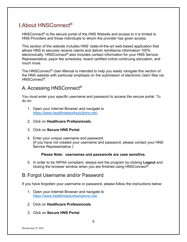# <span id="page-4-0"></span>About HNSConnect®

HNSConnect<sup>®</sup> is the secure portal of the HNS Website and access to it is limited to HNS Providers and those individuals to whom the provider has given access.

This section of the website includes HNS' state-of-the-art web-based application that allows HNS to securely receive claims and deliver remittance information 100% electronically. HNSConnect® also includes contact information for your HNS Service Representative, payor fee schedules, board certified online continuing education, and much more.

The HNSConnect® User Manual is intended to help you easily navigate this section of the HNS website with particular emphasis on the submission of electronic claim files via HNSConnect®.

### <span id="page-4-1"></span>A. Accessing HNSConnect®

You must enter your specific username and password to access the secure portal. To do so:

- 1. Open your Internet Browser and navigate to [https://www.healthnetworksolutions.net/.](https://www.healthnetworksolutions.net/)
- 2. Click on **Healthcare Professionals**.
- 3. Click on **Secure HNS Portal**.
- 4. Enter your unique username and password. (If you have not created your username and password, please contact your HNS Service Representative.)

#### **Please Note: usernames and passwords are case sensitive.**

5. In order to be HIPAA compliant, always exit the program by clicking **Logout** and closing the browser window when you are finished using HNSConnect®.

### <span id="page-4-2"></span>B. Forgot Username and/or Password

If you have forgotten your username or password, please follow the instructions below:

- 1. Open your Internet Browser and navigate to [https://www.healthnetworksolutions.net/.](https://www.healthnetworksolutions.net/)
- 2. Click on **Healthcare Professionals**.
- 3. Click on **Secure HNS Portal**.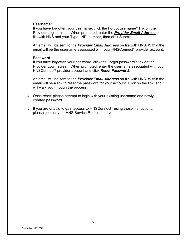#### **Username:**

If you have forgotten your username, click the Forgot username? link on the Provider Login screen. When prompted, enter the *Provider Email Address* on file with HNS and your Type I NPI number, then click Submit.

An email will be sent to the *Provider Email Address* on file with HNS. Within the email will be the username associated with your HNSConnect<sup>®</sup> provider account.

#### **Password**

If you have forgotten your password, click the Forgot password? link on the Provider Login screen. When prompted, enter the username associated with your HNSConnect® provider account and click **Reset Password**.

An email will be sent to the *Provider Email Address* on file with HNS. Within the email will be a link to reset the password for your account. Click on the link, and it will walk you through the process.

- 4. Once reset, please attempt to login with your existing username and newly created password.
- 5. If you are unable to gain access to HNSConnect® using these instructions, please contact your HNS Service Representative.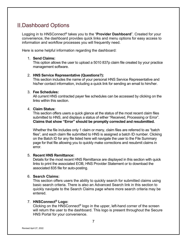# <span id="page-6-0"></span>Dashboard Options

Logging in to HNSConnect® takes you to the "**Provider Dashboard**". Created for your convenience, the dashboard provides quick links and menu options for easy access to information and workflow processes you will frequently need.

Here is some helpful information regarding the dashboard:

#### 1. **Send Claims:**

This option allows the user to upload a 5010 837p claim file created by your practice management software.

#### 2. **HNS Service Representative (Questions?):**

This section includes the name of your personal HNS Service Representative and his/her contact information, including a quick link for sending an email to him/her.

#### 3. **Fee Schedules:**

All current HNS contracted payer fee schedules can be accessed by clicking on the links within this section.

#### 4. **Claim Status:**

This section offers users a quick glance at the status of the most recent claim files submitted to HNS, and displays a status of either "Received, Processing or Error". **Claims that show "Error" should be promptly corrected and resubmitted.**

Whether the file includes only 1 claim or many, claim files are referred to as "batch files", and each claim file submitted to HNS is assigned a batch ID number. Clicking on the Batch ID for any file listed here will navigate the user to the File Summary page for that file allowing you to quickly make corrections and resubmit claims in error.

#### 5. **Recent HNS Remittance:**

Details for the most recent HNS Remittance are displayed in this section with quick links to print the associated EOB, HNS Provider Statement or to download the associated 835 file for auto-posting.

#### 6. **Search Claims:**

This section offers users the ability to quickly search for submitted claims using basic search criteria. There is also an Advanced Search link in this section to quickly navigate to the Search Claims page where more search criteria may be entered.

#### 7. **HNSConnect® Logo:**

Clicking on the HNSConnect® logo in the upper, left-hand corner of the screen will return the user to the dashboard. This logo is present throughout the Secure HNS Portal for your convenience.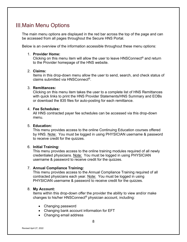# <span id="page-7-0"></span>**III.Main Menu Options**

The main menu options are displayed in the red bar across the top of the page and can be accessed from all pages throughout the Secure HNS Portal.

Below is an overview of the information accessible throughout these menu options:

#### 1. **Provider Home:**

Clicking on this menu item will allow the user to leave HNSConnect® and return to the Provider homepage of the HNS website.

#### 2. **Claims:**

Items in this drop-down menu allow the user to send, search, and check status of claims submitted via HNSConnect®.

#### 3. **Remittances:**

Clicking on this menu item takes the user to a complete list of HNS Remittances with quick links to print the HNS Provider Statements/HNS Summary and EOBs or download the 835 files for auto-posting for each remittance.

#### 4. **Fee Schedules:**

All HNS contracted payer fee schedules can be accessed via this drop-down menu.

#### 5. **Education:**

This menu provides access to the online Continuing Education courses offered by HNS. Note: You must be logged in using PHYSICIAN username & password to receive credit for the quizzes.

#### 6. **Initial Training:**

This menu provides access to the online training modules required of all newly credentialed physicians. Note: You must be logged in using PHYSICIAN username & password to receive credit for the quizzes.

#### 7. **Annual Compliance Training:**

This menu provides access to the Annual Compliance Training required of all contracted physicians each year. Note: You must be logged in using PHYSICIAN username & password to receive credit for the quizzes.

#### 8. **My Account:**

Items within this drop-down offer the provider the ability to view and/or make changes to his/her HNSConnect® physician account, including:

- Changing password
- Changing bank account information for EFT
- Changing email address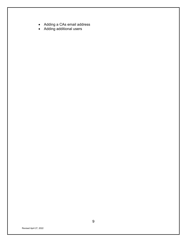- Adding a CAs email address
- Adding additional users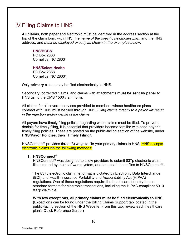# <span id="page-9-0"></span>Filing Claims to HNS

**All claims**, both paper and electronic must be identified in the address section at the top of the claim form, with HNS, *the name of the specific healthcare plan*, and the HNS address, and *must be displayed exactly as shown in the examples below*.

#### **HNS/BCBS**

PO Box 2368 Cornelius, NC 28031

#### **HNS/Select Health**

PO Box 2368 Cornelius, NC 28031

Only **primary** claims may be filed electronically to HNS.

Secondary, corrected claims, and claims with attachments **must be sent by paper** to HNS using the CMS 1500 claim form.

All claims for all covered services provided to members whose healthcare plans contract with HNS must be filed through HNS. *Filing claims directly to a payor will result in the rejection and/or denial of the claims.*

All payors have timely filing policies regarding when claims must be filed. To prevent denials for timely filing, it is essential that providers become familiar with each payor's timely filing policies. These are posted on the public-facing section of the website, under **HNS/Payor Policies**, then "**Timely Filing**".

HNSConnect<sup>®</sup> provides three (3) ways to file your primary claims to HNS. **HNS accepts** electronic claims via the following methods:

#### **1. HNSConnect®**

HNSConnect<sup>®</sup> was designed to allow providers to submit 837p electronic claim files created by their software system, and to upload those files to HNSConnect®.

The 837p electronic claim file format is dictated by Electronic Data Interchange (EDI) and Health Insurance Portability and Accountability Act (HIPAA) regulations. One of these regulations require the healthcare industry to use standard formats for electronic transactions, including the HIPAA-compliant 5010 837p claim file.

**With few exceptions, all primary claims must be filed electronically to HNS.**  (Exceptions can be found under the Billing/Claims Support tab located in the public-facing section of the HNS Website. From this tab, review each healthcare plan's Quick Reference Guide.)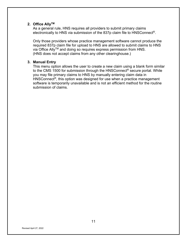#### **2. Office AllyTM**

As a general rule, HNS requires all providers to submit primary claims electronically to HNS via submission of the 837p claim file to HNSConnect®.

Only those providers whose practice management software cannot produce the required 837p claim file for upload to HNS are allowed to submit claims to HNS via Office Ally™ and doing so requires express permission from HNS. (HNS does not accept claims from any other clearinghouse.)

#### **3. Manual Entry**

This menu option allows the user to create a new claim using a blank form similar to the CMS 1500 for submission through the HNSConnect<sup>®</sup> secure portal. While you may file primary claims to HNS by manually entering claim data in HNSConnect<sup>®</sup>, this option was designed for use when a practice management software is temporarily unavailable and is not an efficient method for the routine submission of claims.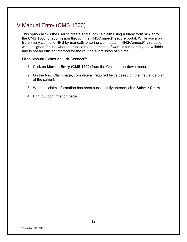# <span id="page-11-0"></span>V. Manual Entry (CMS 1500)

This option allows the user to create and submit a claim using a blank form similar to the CMS 1500 for submission through the HNSConnect® secure portal. While you may file primary claims to HNS by manually entering claim data in HNSConnect ®, this option was designed for use when a practice management software is temporarily unavailable and is not an efficient method for the routine submission of claims.

Filing Manual Claims via HNSConnect®:

- 1. Click on **Manual Entry (CMS 1500)** from the Claims drop-down menu.
- 2. On the New Claim page, complete all required fields based on the insurance plan of the patient.
- 3. When all claim information has been successfully entered, click **Submit Claim**.
- 4. Print out confirmation page.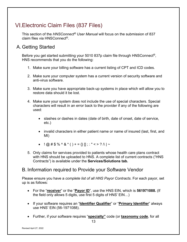# <span id="page-12-0"></span>Electronic Claim Files (837 Files)

This section of the *HNSConnect® User Manual* will focus on the submission of 837 claim files via HNSConnect®.

## <span id="page-12-1"></span>A. Getting Started

Before you get started submitting your 5010 837p claim file through HNSConnect®, HNS recommends that you do the following:

- 1. Make sure your billing software has a current listing of CPT and ICD codes.
- 2. Make sure your computer system has a current version of security software and anti-virus software.
- 3. Make sure you have appropriate back-up systems in place which will allow you to restore data should it be lost.
- 4. Make sure your system does not include the use of special characters. Special characters will result in an error back to the provider if any of the following are used:
	- slashes or dashes in dates (date of birth, date of onset, date of service, etc.)
	- invalid characters in either patient name or name of insured (last, first, and MI)
	- $\therefore$   $\omega \neq \frac{1}{2} \pi \frac{1}{2} \pi \frac{1}{2} \pi \frac{1}{2} \pi \frac{1}{2} \pi \frac{1}{2} \pi \frac{1}{2} \pi \frac{1}{2} \pi \frac{1}{2} \pi \frac{1}{2} \pi \frac{1}{2} \pi \frac{1}{2} \pi \frac{1}{2} \pi \frac{1}{2} \pi \frac{1}{2} \pi \frac{1}{2} \pi \frac{1}{2} \pi \frac{1}{2} \pi \frac{1}{2} \pi \frac{1}{2} \pi \frac{1}{2} \pi \frac{1}{2} \pi \frac{1}{2} \pi$
- 5. Only claims for services provided to patients whose health care plans contract with HNS should be uploaded to HNS. A complete list of current contracts ("HNS Contracts") is available under the **Services/Solutions tab.**

### <span id="page-12-2"></span>B. Information required to Provide your Software Vendor

Please ensure you have a *complete list of all HNS Payor Contracts*. For each payor, set up is as follows:

- For the "**receiver**" or the "**Payor ID**", use the HNS EIN, which is **561971088.** (If the field only allows 5 digits, use first 5 digits of HNS' EIN…)
- If your software requires an "**Identifier Qualifier**" or "**Primary Identifier**" always use HNS' EIN (56-1971088).
- Further, if your software requires "**specialty"** code (or **taxonomy code**, for all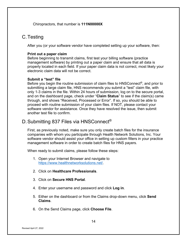Chiropractors, that number is **111N00000X**

### <span id="page-13-0"></span>C.Testing

After you (or your software vendor have completed setting up your software, then:

#### **Print out a paper claim**

Before beginning to transmit claims, first test your billing software (practice management software) by printing out a paper claim and ensure that all data is properly located in each field. If your paper claim data is not correct, most likely your electronic claim data will not be correct.

#### **Submit a "test" file**

Before you begin the routine submission of claim files to  $HNSConnect^{\circledcirc}$ , and prior to submitting a large claim file, HNS recommends you submit a "test" claim file, with only 1-3 claims in the file. Within 24 hours of submission, log on to the secure portal, and on the dashboard page, check under "**Claim Status**" to see if the claim(s) came through, and shows "Received, Processed or Error". If so, you should be able to proceed with routine submission of your claim files. If NOT, please contact your software vendor for assistance. Once they have resolved the issue, then submit another test file to confirm.

### <span id="page-13-1"></span>D. Submitting 837 Files via HNSConnect<sup>®</sup>

First, as previously noted, make sure you only create batch files for the insurance companies with whom you participate through Health Network Solutions, Inc. Your software vendor should assist your office in setting up custom filters in your practice management software in order to create batch files for HNS payers.

When ready to submit claims, please follow these steps:

- 1. Open your Internet Browser and navigate to [https://www.healthnetworksolutions.net/.](http://www.cncarolinas.com/)
- 2. Click on **Healthcare Professionals**.
- 3. Click on **Secure HNS Portal**.
- 4. Enter your username and password and click **Log in**.
- 5. Either on the dashboard or from the Claims drop-down menu, click **Send Claims**.
- 6. On the Send Claims page, click **Choose File**.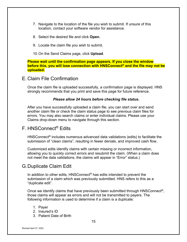- 7. Navigate to the location of the file you wish to submit. If unsure of this location, contact your software vendor for assistance.
- 8. Select the desired file and click **Open.**
- 9. Locate the claim file you wish to submit.
- 10.On the Send Claims page, click **Upload**.

**Please wait until the confirmation page appears. If you close the window before this, you will lose connection with HNSConnect® and the file may not be uploaded.**

<span id="page-14-0"></span>E. Claim File Confirmation

Once the claim file is uploaded successfully, a confirmation page is displayed. HNS strongly recommends that you print and save this page for future reference.

#### *Please allow 24 hours before checking file status.*

After you have successfully uploaded a claim file, you can start over and send another claim file or check the claim status page to see previous claim files for errors. You may also search claims or enter individual claims. Please use your Claims drop-down menu to navigate through this section.

### <span id="page-14-1"></span>F. HNSConnect® Edits

HNSConnect® includes numerous advanced data validations (edits) to facilitate the submission of "clean claims", resulting in fewer denials, and improved cash flow.

Customized edits identify claims with certain missing or incorrect information, allowing you to quickly correct errors and resubmit the claim. (When a claim does not meet the data validations, the claims will appear in "Error" status.)

### <span id="page-14-2"></span>G.Duplicate Claim Edit

In addition to other edits, HNSConnect<sup>®</sup> has edits intended to prevent the submission of a claim which was previously submitted. HNS refers to this as a "duplicate edit".

Once we identify claims that have previously been submitted through HNSConnect®, those claims will appear as errors and will not be transmitted to payers. The following information is used to determine if a claim is a duplicate:

- 1. Payer
- 2. Insured's ID
- 3. Patient Date of Birth

Revised April 27, 2022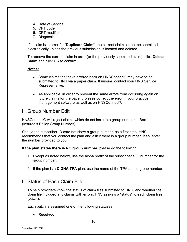- 4. Date of Service
- 5. CPT code
- 6. CPT modifier
- 7. Diagnosis

If a claim is in error for "**Duplicate Claim**", the current claim cannot be submitted electronically unless the previous submission is located and deleted.

To remove the current claim in error (or the previously submitted claim), click **Delete Claim** and click **OK** to confirm.

#### **Notes:**

- Some claims that have errored back on HNSConnect<sup>®</sup> may have to be submitted to HNS via a paper claim. If unsure, contact your HNS Service Representative.
- As applicable, in order to prevent the same errors from occurring again on future claims for the patient, please correct the error in your practice management software as well as on HNSConnect®.

### <span id="page-15-0"></span>H.Group Number Edit

HNSConnect® will reject claims which do not include a group number in Box 11 (Insured's Policy Group Number).

Should the subscriber ID card not show a group number, as a first step, HNS recommends that you contact the plan and ask if there is a group number. If so, enter the number provided to you.

**If the plan states there is NO group number**, please do the following:

- 1. Except as noted below, use the alpha prefix of the subscriber's ID number for the group number.
- 2. If the plan is a **CIGNA TPA** plan, use the name of the TPA as the group number.

### <span id="page-15-1"></span>I. Status of Each Claim File

To help providers know the status of claim files submitted to HNS, and whether the claim file included any claims with errors, HNS assigns a "status" to each claim files (batch).

Each batch is assigned one of the following statuses.

#### • **Received**

Revised April 27, 2022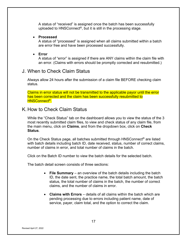A status of "received" is assigned once the batch has been successfully uploaded to HNSConnect<sup>®</sup>, but it is still in the processing stage.

#### • **Processed**

A status of "processed" is assigned when all claims submitted within a batch are error free and have been processed successfully.

#### • **Error**

A status of "error" is assigned if there are ANY claims within the claim file with an error. (Claims with errors should be promptly corrected and resubmitted.)

### <span id="page-16-0"></span>J. When to Check Claim Status

Always allow 24 hours after the submission of a claim file BEFORE checking claim status.

Claims in error status will not be transmitted to the applicable payor until the error has been corrected and the claim has been successfully resubmitted to HNSConnect<sup>®</sup>.

### <span id="page-16-1"></span>K. How to Check Claim Status

While the "Check Status" tab on the dashboard allows you to view the status of the 3 most recently submitted claim files, to view and check status of any claim file, from the main menu, click on **Claims**, and from the dropdown box, click on **Check Status**.

On the Check Status page, all batches submitted through HNSConnect® are listed with batch details including batch ID, date received, status, number of correct claims, number of claims in error, and total number of claims in the batch.

Click on the Batch ID number to view the batch details for the selected batch.

The batch detail screen consists of three sections:

- **File Summary** an overview of the batch details including the batch ID, the date sent, the practice name, the total batch amount, the batch status, the total number of claims in the batch, the number of correct claims, and the number of claims in error.
- **Claims with Errors** details of all claims within the batch which are pending processing due to errors including patient name, date of service, payer, claim total, and the option to correct the claim.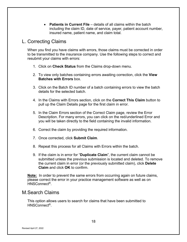• **Patients in Current File** – details of all claims within the batch including the claim ID, date of service, payer, patient account number, insured name, patient name, and claim total.

### <span id="page-17-0"></span>L. Correcting Claims

When you find you have claims with errors, those claims must be corrected in order to be transmitted to the insurance company. Use the following steps to correct and resubmit your claims with errors:

- 1. Click on **Check Status** from the Claims drop-down menu.
- 2. To view only batches containing errors awaiting correction, click the **View Batches with Errors** box.
- 3. Click on the Batch ID number of a batch containing errors to view the batch details for the selected batch.
- 4. In the Claims with Errors section, click on the **Correct This Claim** button to pull up the Claim Details page for the first claim in error.
- 5. In the Claim Errors section of the Correct Claim page, review the Error Description. For many errors, you can click on the red/underlined Error and you will be taken directly to the field containing the invalid information.
- 6. Correct the claim by providing the required information.
- 7. Once corrected, click **Submit Claim**.
- 8. Repeat this process for all Claims with Errors within the batch.
- 9. If the claim is in error for "**Duplicate Claim**", the current claim cannot be submitted unless the previous submission is located and deleted. To remove the current claim in error (or the previously submitted claim), click **Delete Claim** and click **OK** to confirm.

**Note:** In order to prevent the same errors from occurring again on future claims, please correct the error in your practice management software as well as on HNSConnect®.

### <span id="page-17-1"></span>M.Search Claims

This option allows users to search for claims that have been submitted to HNSConnect®.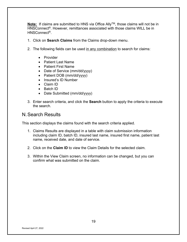**Note:** If claims are submitted to HNS via Office Ally™, those claims will not be in HNSConnect®. However, remittances associated with those claims WILL be in HNSConnect®.

- 1. Click on **Search Claims** from the Claims drop-down menu.
- 2. The following fields can be used in any combination to search for claims:
	- Provider
	- Patient Last Name
	- Patient First Name
	- Date of Service (mm/dd/yyyy)
	- Patient DOB (mm/dd/yyyy)
	- Insured's ID Number
	- Claim ID
	- Batch ID
	- Date Submitted (mm/dd/yyyy)
- 3. Enter search criteria, and click the **Search** button to apply the criteria to execute the search.

### <span id="page-18-0"></span>N.Search Results

This section displays the claims found with the search criteria applied.

- 1. Claims Results are displayed in a table with claim submission information including claim ID, batch ID, insured last name, insured first name, patient last name, received date, and date of service.
- 2. Click on the **Claim ID** to view the Claim Details for the selected claim.
- 3. Within the View Claim screen, no information can be changed, but you can confirm what was submitted on the claim.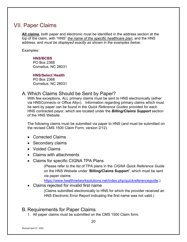# <span id="page-19-0"></span>**VII. Paper Claims**

**All claims**, both paper and electronic must be identified in the address section at the top of the claim, with "HNS" *the name of the specific healthcare plan*, and the HNS address, and *must be displayed exactly as shown in the examples below*.

Examples:

#### **HNS/BCBS**

PO Box 2368 Cornelius, NC 28031

**HNS/Select Health** PO Box 2368 Cornelius, NC 28031

### <span id="page-19-1"></span>A. Which Claims Should be Sent by Paper?

With few exceptions, ALL primary claims must be sent to HNS electronically (either via HNSConnect® or Office Ally®). Information regarding primary claims which must be sent by paper can be found in the *Quick Reference Guides* provided for each HNS contracted payor, which are located under the *Billing/Claims Support* section of the HNS Website.

The following claims must be submitted via paper to HNS (and must be submitted on the revised CMS 1500 Claim Form, version 2/12).

- Corrected Claims
- Secondary claims
- Voided Claims
- Claims with attachments
- Claims for specific CIGNA TPA Plans

(Please refer to the list of TPA plans in the *CIGNA Quick Reference Guide* on the HNS Website under '**Billing/Claims Support'**, which must be sent via paper claims:

[https://www.healthnetworksolutions.net/index.php/quickreferenceguide.](https://www.healthnetworksolutions.net/index.php/quickreferenceguide))

• Claims rejected for invalid first name

(Claims submitted electronically to HNS for which the provider received an HNS Electronic Error Report indicating the first name was not valid.)

### <span id="page-19-2"></span>B. Requirements for Paper Claims

1. All paper claims must be submitted on the CMS 1500 Claim form.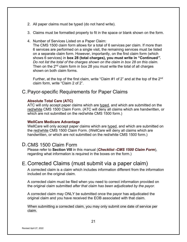- 2. All paper claims must be typed (do not hand write).
- 3. Claims must be formatted properly to fit in the space or blank shown on the form.
- 4. Number of Services Listed on a Paper Claim:

The CMS 1500 claim form allows for a total of 6 services per claim. If more than 6 services are performed on a single visit, the remaining services must be listed on a separate claim form. However, importantly, on the first claim form (which shows 6 services) in **box 28 (total charges), you must write in "Continued***". Do not list the total of the charges shown on the claim in box 28 on this claim.* Then on the 2<sup>nd</sup> claim form in box 28 you must write the total of all charges shown on both claim forms.

Further, at the top of the first claim, write "Claim #1 of 2" and at the top of the 2<sup>nd</sup> claim form, write "Claim 2 of 2".

### <span id="page-20-0"></span>C.Payor-specific Requirements for Paper Claims

#### **Absolute Total Care (ATC)**

ATC will only accept paper claims which are typed, and which are submitted on the red/white CMS 1500 Claim Form. (ATC will deny all claims which are handwritten, or which are not submitted on the red/white CMS 1500 form.)

#### **WellCare Medicare Advantage**

WellCare will only accept paper claims which are typed, and which are submitted on the red/white CMS 1500 Claim Form. (WellCare will deny all claims which are handwritten, or which are not submitted on the red/white CMS 1500 form.)

### <span id="page-20-1"></span>D.CMS 1500 Claim Form

Please refer to **Section VIII** in this manual (*Checklist -CMS 1500 Claim Form*), regarding what information is required in the boxes on the form.)

### <span id="page-20-2"></span>E. Corrected Claims (must submit via a paper claim)

A corrected claim is a claim which includes information different from the information included on the original claim.

A corrected claim must be filed when you need to correct information provided on the original claim submitted *after that claim has been adjudicated by the payor*.

A corrected claim may ONLY be submitted once the payor has adjudicated the original claim and you have received the EOB associated with that claim.

When submitting a corrected claim, you may only submit one date of service per claim.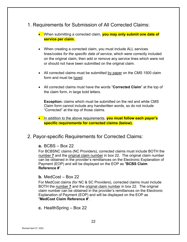- <span id="page-21-0"></span>1. Requirements for Submission of All Corrected Claims:
	- When submitting a corrected claim, **you may only submit one date of service per claim.**
	- When creating a corrected claim, you must include ALL services lines/codes *for the specific date of service*, which were correctly included on the original claim, then add or remove any service lines which were not or should not have been submitted on the original claim.
	- All corrected claims must be submitted by paper on the CMS 1500 claim form and must be typed.
	- All corrected claims must have the words "**Corrected Claim**" at the top of the claim form, in large bold letters.

**Exception:** claims which must be submitted on the red and white CMS Claim form cannot include any handwritten words, so do not include "Corrected" at the top of those claims.

• In addition to the above requirements, **you must follow each payor's specific requirements for corrected claims (below).**

### <span id="page-21-1"></span>2. Payor-specific Requirements for Corrected Claims:

#### **a.** BCBS – Box 22

For BCBSNC claims (NC Providers), corrected claims must include BOTH the number **7** and the original claim number in box 22. The original claim number can be obtained in the provider's remittances on the Electronic Explanation of Payment (EOP) and will be displayed on the EOP as "**BCBS Claim Reference #**".

#### **b.** MedCost – Box 22

For MedCost claims (for NC & SC Providers), corrected claims must include BOTH the number **7** and the original claim number in box 22. The original claim number can be obtained in the provider's remittances on the Electronic Explanation of Payment (EOP) and will be displayed on the EOP as "**MedCost Claim Reference #**".

**c.** HealthSpring – Box 22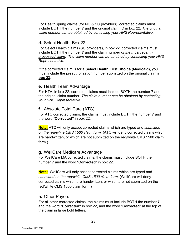For HealthSpring claims (for NC & SC providers), corrected claims must include BOTH the number **7** and the original claim ID in box 22. *The original claim number can be obtained by contacting your HNS Representative.* 

#### **d.** Select Health- Box 22

For Select Health claims (SC providers), in box 22, corrected claims must include BOTH the number **7** and the claim number *of the most recently processed claim*. *The claim number can be obtained by contacting your HNS Representative*.

If the corrected claim is for a **Select Health First Choice (Medicaid),** you must include the preauthorization number submitted on the original claim in **box 23**.

#### **e.** Health Team Advantage

For HTA, in box 22, corrected claims must include BOTH the number **7** and the original claim number. *The claim number can be obtained by contacting your HNS Representative*.

#### **f.** Absolute Total Care (ATC)

For ATC corrected claims, the claims must include BOTH the number **7** and the word "**Corrected"** in box 22.

**Note:** ATC will only accept corrected claims which are typed and *submitted on the red/white CMS 1500 claim form.* (ATC will deny corrected claims which are handwritten, or which are not submitted on the red/white CMS 1500 claim form.)

#### **g.** WellCare Medicare Advantage

For WellCare MA corrected claims, the claims must include BOTH the number **7** and the word "**Corrected**" in box 22.

**Note:** WellCare will only accept corrected claims which are typed and *submitted on the red/white CMS 1500 claim form*. (WellCare will deny corrected claims which are handwritten, or which are not submitted on the red/white CMS 1500 claim form.)

#### **h.** Other Payors

For all other corrected claims, the claims must include BOTH the number **7** and the word "**Corrected"** in box 22, and the word "**Corrected**" at the top of the claim in large bold letters.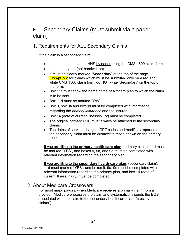# <span id="page-23-0"></span>F. Secondary Claims (must submit via a paper claim)

### <span id="page-23-1"></span>1. Requirements for ALL Secondary Claims

If the claim is a secondary claim:

- It must be submitted to HNS by paper using the CMS 1500 claim form.
- It must be typed (not handwritten).
- It must be clearly marked "**Secondar**y" at the top of the page. **Exception:** for claims which must be submitted only on a red and white CMS 1500 claim form, do NOT write 'Secondary' on the top of the form.
- Box 11c must show the name of the healthcare plan to which the claim is to be sent.
- Box 11d must be marked "Yes".
- Box 9, box 9a and box 9d must be completed with information regarding the *primary insurance* and the insured.
- Box 14 (date of current illness/injury) must be completed.
- The original primary EOB must always be attached to the secondary claims.
- The dates of service, charges, CPT codes and modifiers reported on the secondary claim must be *identical* to those shown on the primary EOB.

If you are filing to the **primary health care plan**, (primary claim), 11d must be marked "YES", and boxes 9, 9a, and 9d must be completed with relevant information regarding the secondary plan.

If you are filing to the **secondary health care plan**, (secondary claim), 11d must marked "YES", and boxes 9, 9a, 9d must be completed with relevant information regarding the primary plan, and box 14 (date of current illness/injury) must be completed.

### <span id="page-23-2"></span>2. About Medicare Crossovers

For most major payors, when Medicare receives a primary claim from a provider, Medicare processes the claim and systematically sends the EOB associated with the claim to the secondary healthcare plan ("crossover claims").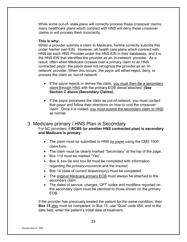While some out-of- state plans will correctly process these crossover claims, many healthcare plans which contract with HNS will deny these crossover claims or will process them incorrectly.

#### **This is why:**

When a provider submits a claim to Medicare, he/she correctly submits this under his/her own EIN. However, all health care plans which contract with HNS list each HNS Provider under the HNS EIN in their databases, and it is the HNS EIN that identifies the provider as an 'in-network' provider. As a result, often when Medicare crosses over a primary claim to an HNS contracted payor, the payor does not recognize the provider as an 'innetwork' provider. When this occurs, the payor will either reject, deny, or process the claim as 'out-of-network'.

- If the payor rejects or denies the claim, you must then file a secondary claim through HNS with the primary EOB denial attached. **(See Section C above (Secondary Claims).**
- If the payor processes the claim as *out-of-network*, you must contact that payor and follow their directions on how to void the crossover claim. Once it is voided, you must submit the secondary claim to HNS, as normal.

#### <span id="page-24-0"></span>3. Medicare primary / HNS Plan is Secondary For NC providers, if **BCBS (or another HNS contracted plan) is secondary and Medicare is primary:**

- The claim must be submitted to HNS by paper using the CMS 1500 claim form.
- The claim must be clearly marked "Secondary" at the top of the page.
- Box 11d must be marked "Yes".
- Box 9, box 9a and box 9d must be completed with information regarding the *primary insurance* and the insured.
- Box 14 (date of current illness/injury) must be completed.
- The original Medicare primary EOB must always be attached to the secondary claim.
- The dates of service, charges, CPT codes and modifiers reported on the secondary claim must be *identical* to those shown on the primary EOB.

If the provider has previously treated the patient for the same condition, then **Box 15** also must be completed. In Box 15, use "Qual" code 454, and in the date field, enter the patient's initial date of treatment.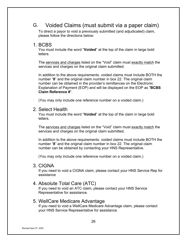# G. Voided Claims (must submit via a paper claim)

<span id="page-25-0"></span>To direct a payor to void a previously submitted (and adjudicated) claim, please follow the directions below:

#### <span id="page-25-1"></span>1. BCBS

You must include the word "**Voided**" at the top of the claim in large bold letters.

The services and charges listed on the "Void" claim must exactly match the services and charges on the original claim submitted.

In addition to the above requirements. voided claims must include BOTH the number "**8**" and the original claim number in box 22. The original claim number can be obtained in the provider's remittances on the Electronic Explanation of Payment (EOP) and will be displayed on the EOP as "**BCBS Claim Reference #**".

(You may only include one reference number on a voided claim.)

### <span id="page-25-2"></span>2. Select Health

You must include the word "**Voided**" at the top of the claim in large bold letters.

The services and charges listed on the "Void" claim must exactly match the services and charges on the original claim submitted.

In addition to the above requirements. voided claims must include BOTH the number "**8**" and the original claim number in box 22. The original claim number can be obtained by contacting your HNS Representative.

(You may only include one reference number on a voided claim.)

### <span id="page-25-3"></span>3. CIGNA

If you need to void a CIGNA claim, please contact your HNS Service Rep for assistance

### <span id="page-25-4"></span>4. Absolute Total Care (ATC)

If you need to void an ATC claim, please contact your HNS Service Representative for assistance.

### <span id="page-25-5"></span>5. WellCare Medicare Advantage

If you need to void a WellCare Medicare Advantage claim, please contact your HNS Service Representative for assistance.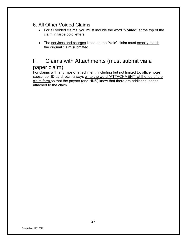### <span id="page-26-0"></span>6. All Other Voided Claims

- For all voided claims, you must include the word "**Voided**" at the top of the claim in large bold letters.
- The services and charges listed on the "Void" claim must exactly match the original claim submitted.

# <span id="page-26-1"></span>H. Claims with Attachments (must submit via a paper claim)

For claims with any type of attachment, including but not limited to, office notes, subscriber ID card, etc., always write the word "ATTACHMENT" at the top of the claim form so that the payors (and HNS) know that there are additional pages attached to the claim.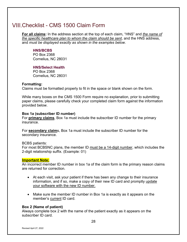# <span id="page-27-0"></span>Checklist - CMS 1500 Claim Form

**For all claims:** In the address section at the top of each claim, "HNS" and *the name of the specific healthcare plan to whom the claim should be sent*, and the HNS address, and *must be displayed exactly as shown in the examples below*.

#### **HNS/BCBS**

PO Box 2368 Cornelius, NC 28031

#### **HNS/Select Health**

PO Box 2368 Cornelius, NC 28031

#### **Formatting:**

Claims must be formatted properly to fit in the space or blank shown on the form.

While many boxes on the CMS 1500 Form require no explanation, prior to submitting paper claims, please carefully check your completed claim form against the information provided below.

#### **Box 1a (subscriber ID number)**

For **primary claims**, Box 1a must include the subscriber ID number for the primary insurance.

For **secondary claim**s, Box 1a must include the subscriber ID number for the secondary insurance.

#### BCBS patients:

For most BCBSNC plans, the member ID must be a 14-digit number, which includes the 2-digit relationship suffix. (Example: 01)

#### **Important Note:**

An incorrect member ID number in box 1a of the claim form is the primary reason claims are returned for correction.

- At each visit, ask your patient if there has been any change to their insurance information, and if so, make a copy of their new ID card and promptly update your software with the new ID number.
- Make sure the member ID number in Box 1a is exactly as it appears on the member's current ID card.

#### **Box 2 (Name of patient)**

Always complete box 2 with the name of the patient exactly as it appears on the subscriber ID card.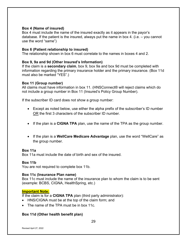#### **Box 4 (Name of insured)**

Box 4 must include the name of the insured exactly as it appears in the payor's database. If the patient is the insured, always put the name in box 4. (i.e. – you cannot use the word "same")

#### **Box 6 (Patient relationship to insured)**

The relationship shown in box 6 must correlate to the names in boxes 4 and 2.

#### **Box 9, 9a and 9d (Other Insured's Information)**

If the claim is a **secondary claim**, box 9, box 9a and box 9d must be completed with information regarding the primary insurance holder and the primary insurance. (Box 11d must also be marked "YES".)

#### **Box 11 (Group number)**

All claims must have information in box 11. (HNSConnect® will reject claims which do not include a group number in Box 11 (Insured's Policy Group Number).

If the subscriber ID card does not show a group number:

- Except as noted below, use either the alpha prefix of the subscriber's ID number OR the first 3 characters of the subscriber ID number.
- If the plan is a **CIGNA TPA** plan, use the name of the TPA as the group number.
- If the plan is a **WellCare Medicare Advantage** plan, use the word "WellCare" as the group number.

#### **Box 11a**

Box 11a must include the date of birth and sex of the insured.

#### **Box 11b**

You are not required to complete box 11b.

#### **Box 11c (Insurance Plan name)**

Box 11c must include the name of the insurance plan to whom the claim is to be sent (example: BCBS, CIGNA, HealthSpring, etc.)

#### **Important Note:**

If the claim is for a **CIGNA TPA** plan (third party administrator):

- HNS/CIGNA must be at the top of the claim form; and
- The name of the TPA must be in box 11c.

#### **Box 11d (Other health benefit plan)**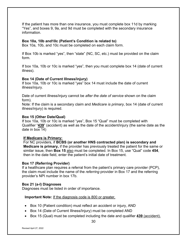If the patient has more than one insurance, you must complete box 11d by marking "Yes", and boxes 9, 9a, and 9d must be completed with the secondary insurance information.

#### **Box 10a, 10b and10c (Patient's Condition is related to)**

Box 10a, 10b, and 10c must be completed on each claim form.

If Box 10b is marked "yes", then "state" (NC, SC, etc.) must be provided on the claim form.

If box 10a, 10b or 10c is marked "yes", then you must complete box 14 (date of current illness).

#### **Box 14 (Date of Current Illness/injury)**

If box 10a, 10b or 10c is marked "yes" box 14 must include the date of current illness/injury.

Date of current illness/injury cannot be *after the date of service* shown on the claim form).

Note: If the claim is a secondary claim and *Medicare is primary*, box 14 (date of current illness/injury) is required.

#### **Box 15 (Other Date/Qual)**

If box 10a, 10b or 10c is marked "yes", Box 15 "Qual" must be completed with Qualifier "**439**" (accident) as well as the date of the accident/injury (the same date as the date in box 14)

#### **If Medicare is Primary:**

For NC providers, if **BCBS (or another HNS contracted plan) is secondary and Medicare is primary,** if the provider has previously treated the patient for the same or similar issue, then **Box 15** also must be completed. In Box 15, use "Qual" code **454**, then in the date field, enter the patient's initial date of treatment.

#### **Box 17 (Referring Provider)**

If a healthcare plan requires a referral from the patient's primary care provider (PCP), the claim must include the name of the *referring* provider in Box 17 and the referring provider's NPI number in box 17b.

#### **Box 21 (a-l) Diagnoses**

Diagnoses must be listed in order of importance.

**Important Note:** If the diagnosis code is 800 or greater,

- Box 10 (Patient condition) must reflect an accident or injury, AND
- Box 14 (Date of Current Illness/Injury) must be completed AND
- Box 15 (Qual) must be completed including the date and qualifier **439** (accident).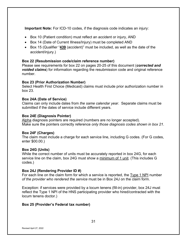**Important Note:** For ICD-10 codes, if the diagnosis code indicates an injury:

- Box 10 (Patient condition) must reflect an accident or injury, AND
- Box 14 (Date of Current Illness/Injury) must be completed AND
- Box 15 (Qualifier "**439** (accident)" must be included, as well as the date of the accident/injury.)

#### **Box 22 (Resubmission code/claim reference number)**

Please see requirements for box 22 on pages 20-25 of this document (*corrected and voided claims*) for information regarding the resubmission code and original reference number.

#### **Box 23 (Prior Authorization Number)**

Select Health First Choice (Medicaid) claims must include prior authorization number in box 23.

#### **Box 24A (Date of Service)**

Claims can only include dates from *the same calendar year*. Separate claims must be submitted if the dates of service include different years.

#### **Box 24E (Diagnosis Pointer)**

Alpha diagnosis pointers are required (numbers are no longer accepted). Make sure the pointers correctly reference *only those diagnosis codes shown in box 21*.

#### **Box 24F (Charges)**

The claim must include a charge for each service line, including G codes. (For G codes, enter \$00.00.)

#### **Box 24G (Units)**

While the correct number of units must be accurately reported in box 24G, for each service line on the claim, box 24G must show a minimum of 1 unit. (This includes G codes.)

#### **Box 24J (Rendering Provider ID #)**

For each line on the claim form for which a service is reported, the Type 1 NPI number *of the provider who rendered the service* must be in Box 24J on the claim form.

Exception: if services were provided by a locum tenens (fill-in) provider, box 24J must reflect the Type 1 NPI of the HNS participating provider who hired/contracted with the locum tenens doctor.)

#### **Box 25 (Provider's Federal tax number)**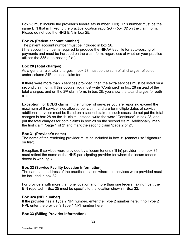Box 25 must include the provider's federal tax number (EIN). This number must be the same EIN that is linked to the practice location *reported in box 32* on the claim form. Please do not use the HNS EIN in box 25.

#### **Box 26 (Patient account number)**

The patient account number must be included in box 26.

(The account number is required to produce the HIPAA 835 file for auto-posting of payments and must be included on the claim form, regardless of whether your practice utilizes the 835 auto-posting file.)

#### **Box 28 (Total charges)**

As a general rule, total charges in box 28 must be the sum of all charges reflected under column 24F on each claim form.

If there were more than 6 services provided, then the extra services must be listed on a second claim form. If this occurs, you must write "Continued" in box 28 instead of the total charges, and on the 2<sup>nd</sup> claim form, in box 28, you show the total charges for both claims

**Exception:** for **BCBS** claims, if the number of services you are reporting exceed the maximum of 6 service lines allowed per claim, and are for multiple dates of service, additional services must be listed on a second claim. In such cases, do not put the total charges in box 28 on the 1<sup>st</sup> claim; instead, write the word "Continued" in box 28, and put the total charges for both claims in box 28 on the second claim. Additionally, mark the first claim "page 1 of 2" and mark the second claim "page 2 of 2".

#### **Box 31 (Provider's name)**

The name of the rendering provider must be included in box 31 (cannot use "signature on file").

Exception: if services were provided by a locum tenens (fill-in) provider, then box 31 must reflect the name of the HNS participating provider for whom the locum tenens doctor is working.)

#### **Box 32 (Service Facility Location Information)**

The name and address of the practice location where the services were provided must be included in box 32.

For providers with more than one location and more than one federal tax number, the EIN reported in Box 25 must be specific to the location shown in Box 32.

#### **Box 32a (NPI number)**

If the provider has a Type 2 NPI number, enter the Type 2 number here, if no Type 2 NPI, enter the provider's Type 1 NPI number here.

#### **Box 33 (Billing Provider Information)**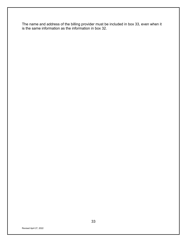The name and address of the billing provider must be included in box 33, even when it is the same information as the information in box 32.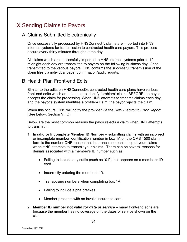# <span id="page-33-0"></span>IX. Sending Claims to Payors

### <span id="page-33-1"></span>A. Claims Submitted Electronically

Once successfully processed by HNSConnect®, claims are imported into HNS internal systems for transmission to contracted health care payers. This process occurs every thirty minutes throughout the day.

All claims which are successfully imported to HNS internal systems prior to 12 midnight each day are transmitted to payers on the following business day. Once transmitted to the various payors, HNS confirms the successful transmission of the claim files via individual payer confirmation/audit reports.

### <span id="page-33-2"></span>B. Health Plan Front-end Edits

Similar to the edits on HNSConnect®, contracted health care plans have various front-end edits which are intended to identify "problem" claims BEFORE the payor accepts the claim for processing. When HNS attempts to transmit claims each day, and the payor's system identifies a problem claim, the payor rejects the claim.

When this occurs, HNS will notify the provider via the *HNS Electronic Error Report*. (See below, Section VII C).

Below are the most common reasons the payor rejects a claim when HNS attempts to transmit it:

- 1. **Invalid or Incomplete Member ID Number** submitting claims with an incorrect or incomplete member identification number in box 1A on the CMS 1500 claim form is the number ONE reason that insurance companies reject your claims when HNS attempts to transmit your claims. There can be several reasons for denials associated with a member's ID number such as:
	- Failing to include any suffix (such as "01") that appears on a member's ID card.
	- Incorrectly entering the member's ID.
	- Transposing numbers when completing box 1A.
	- Failing to include alpha prefixes.
	- Member presents with an invalid insurance card.
- 2. **Member ID number not valid** *for date of service* many front-end edits are because the member has no coverage on the dates of service shown on the claim.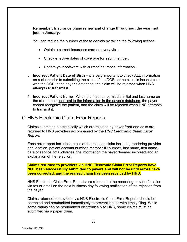#### **Remember: Insurance plans renew and change throughout the year, not just in January.**

You can reduce the number of these denials by taking the following actions:

- Obtain a current insurance card on every visit.
- Check effective dates of coverage for each member.
- Update your software with current insurance information.
- 3. **Incorrect Patient Date of Birth** it is very important to check ALL information on a claim prior to submitting the claim. If the DOB on the claim is inconsistent with the DOB in the payor's database, the claim will be rejected when HNS attempts to transmit it.
- 4. **Incorrect Patient Name** –When the first name, middle initial and last name on the claim is not identical to the information in the payor's database, the payer cannot recognize the patient, and the claim will be rejected when HNS attempts to transmit it.

### <span id="page-34-0"></span>C.HNS Electronic Claim Error Reports

Claims submitted electronically which are rejected by payer front-end edits are returned to HNS providers accompanied by the *HNS Electronic Claim Error Report.*

Each error report includes details of the rejected claim including rendering provider and location, patient account number, member ID number, last name, first name, date of service, total charges, the information the payer deemed incorrect and an explanation of the rejection.

**Claims returned to providers via HNS Electronic Claim Error Reports have NOT been successfully submitted to payers and will not be until errors have been corrected, and the revised claim has been received by HNS.** 

HNS Electronic Claim Error Reports are returned to the rendering provider/location via fax or email on the next business day following notification of the rejection from the payer.

Claims returned to providers via HNS Electronic Claim Error Reports should be corrected and resubmitted immediately to prevent issues with timely filing. While some claims can be resubmitted electronically to HNS, some claims must be submitted via a paper claim.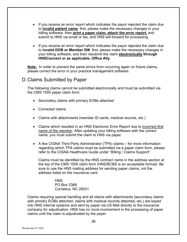- If you receive an error report which indicates the payor rejected the claim due to **invalid patient name**, first, please make the necessary changes in your billing software, then **print a paper claim, attach the error report,** and submit to HNS via email or fax, and HNS will forward for processing.
- If you receive an error report which indicates the payor rejected the claim due to **invalid DOB or Member ID#**, first, please make the necessary changes in your billing software, and then resubmit the claim **electronically through HNSConnect or as applicable, Office Ally**.

**Note:** In order to prevent the same errors from occurring again on future claims, please correct the error in your practice management software.

### <span id="page-35-0"></span>D.Claims Submitted by Paper

The following claims cannot be submitted electronically and must be submitted via the CMS 1500 paper claim form:

- Secondary claims with primary EOBs attached
- Corrected claims
- Claims with attachments (member ID cards, medical records, etc.)
- Claims which resulted in an HNS Electronic Error Report due to *incorrect first name of the member*. After updating your billing software with the correct name, you must submit the claim to HNS via paper.
- A few CIGNA Third Party Administrator (TPA) claims for more information regarding which TPA claims must be submitted via a paper claim form, please refer to the CIGNA Healthcare Guide under "Billing / Claims Support".

Claims must be identified by the HNS contract name in the address section at the top of the CMS 1500 claim form (HNS/BCBS is an acceptable format). Be sure to use the HNS mailing address for sending paper claims, not the address listed on the insurance card.

> **HNS** PO Box 2368 Cornelius, NC 28031

Claims requiring special handling and all claims with attachments (secondary claims with primary EOBs attached, claims with medical records attached, etc.) are keyed into HNS internal systems and sent by paper via US Mail directly to the insurance company for adjudication. HNS has no more involvement in the processing of paper claims until the claim is adjudicated by the payer.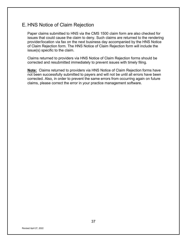### <span id="page-36-0"></span>E. HNS Notice of Claim Rejection

Paper claims submitted to HNS via the CMS 1500 claim form are also checked for issues that could cause the claim to deny. Such claims are returned to the rendering provider/location via fax on the next business day accompanied by the HNS Notice of Claim Rejection form. The HNS Notice of Claim Rejection form will include the issue(s) specific to the claim.

Claims returned to providers via HNS Notice of Claim Rejection forms should be corrected and resubmitted immediately to prevent issues with timely filing.

**Note:** Claims returned to providers via HNS Notice of Claim Rejection forms have not been successfully submitted to payers and will not be until all errors have been corrected. Also, in order to prevent the same errors from occurring again on future claims, please correct the error in your practice management software.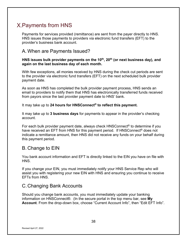# <span id="page-37-0"></span>X. Payments from HNS

Payments for services provided (remittance) are sent from the payer directly to HNS. HNS issues those payments to providers via electronic fund transfers (EFT) to the provider's business bank account.

## <span id="page-37-1"></span>A. When are Payments Issued?

#### HNS issues bulk provider payments on the 10<sup>th</sup>, 20<sup>th</sup> (or next business day), and **again on the last business day of each month.**

With few exceptions, all monies received by HNS during the check cut periods are sent to the provider via electronic fund transfers (EFT) on the next scheduled bulk provider payment date.

As soon as HNS has completed the bulk provider payment process, HNS sends an email to providers to notify them that HNS has electronically transferred funds received from payors since the last provider payment date to HNS' bank.

It may take up to **24 hours for HNSConnect® to reflect this payment.**

It may take up to **3 business days** for payments to appear in the provider's checking account.

For each bulk provider payment date, always check HNSConnect® to determine if you have received an EFT from HNS for this payment period. If HNSConnect<sup>®</sup> does not indicate a remittance amount, then HNS did not receive any funds on your behalf during this payment period.

### <span id="page-37-2"></span>B. Change to EIN

You bank account information and EFT is directly linked to the EIN you have on file with HNS.

If you change your EIN, you must immediately notify your HNS Service Rep who will assist you with registering your new EIN with HNS and ensuring you continue to receive EFTs from HNS.

## <span id="page-37-3"></span>C.Changing Bank Accounts

Should you change bank accounts, you must immediately update your banking information on HNSConnect®. (In the secure portal in the top menu bar, see **My Account**. From the drop-down box, choose "Current Account Info", then "Edit EFT Info".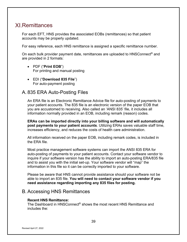# <span id="page-38-0"></span>**XI**. Remittances

For each EFT, HNS provides the associated EOBs (remittances) so that patient accounts may be properly updated.

For easy reference, each HNS remittance is assigned a specific remittance number.

On each bulk provider payment date, remittances are uploaded to HNSConnect® and are provided in 2 formats:

- PDF ("**Print EOB**") For printing and manual posting
- EDI ("**Download 835 File**") For auto-payment posting

### <span id="page-38-1"></span>A. 835 ERA Auto-Posting Files

An ERA file is an Electronic Remittance Advice file for auto-posting of payments to your patient accounts. The 835 file is an electronic version of the paper EOB that you are accustomed to receiving. Also called an 'ANSI 835' file, it includes all information normally provided in an EOB, including remark (reason) codes.

**ERAs can be imported directly into your billing software and will automatically post payments to your patient accounts**. Utilizing ERAs saves valuable staff time, increases efficiency, and reduces the costs of health care administration.

All information received on the paper EOB, including remark codes, is included in the ERA file.

Most practice management software systems can import the ANSI 835 ERA for auto-posting of payments to your patient accounts. Contact your software vendor to inquire if your software version has the ability to import an auto-posting ERA/835 file and to assist you with the initial set-up. Your software vendor will "map" the information in this file so it can be correctly imported to your software.

Please be aware that HNS cannot provide assistance should your software not be able to import an 835 file. **You will need to contact your software vendor if you need assistance regarding importing any 835 files for posting.**

### <span id="page-38-2"></span>B. Accessing HNS Remittances

#### **Recent HNS Remittance:**

The Dashboard in HNSConnect® shows the most recent HNS Remittance and includes the: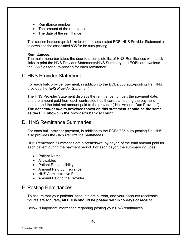- Remittance number
- The amount of the remittance
- The date of the remittance

This section includes quick links to print the associated EOB, HNS Provider Statement or to download the associated 835 file for auto-posting.

#### **Remittances:**

The main menu bar takes the user to a complete list of HNS Remittances with quick links to print the HNS Provider Statements/HNS Summary and EOBs or download the 835 files for auto-posting for each remittance.

### <span id="page-39-0"></span>C.HNS Provider Statement

For each bulk provider payment, in addition to the EOBs/835 auto-posting file, HNS provides the *HNS Provider Statement.*

The HNS Provider Statement displays the remittance number, the payment date, and the amount paid from each contracted healthcare plan during the payment period, and the total net amount paid to the provider ("Net Amount Due Provider"). **The** *net amount due to provider* **shown on this statement should be the same as the EFT shown in the provider's bank account.**

### <span id="page-39-1"></span>D. HNS Remittance Summaries

For each bulk provider payment, in addition to the EOBs/835 auto-posting file, HNS also provides the *HNS Remittance Summaries.*

HNS Remittance Summaries are a breakdown, by payor, of the total amount paid for each patient during the payment period. For each payor, the summary includes:

- Patient Name
- Allowables
- Patient Responsibility
- Amount Paid by Insurance
- HNS Administrative Fee
- Amount Paid to the Provider

### <span id="page-39-2"></span>E. Posting Remittances

To assure that your patients' accounts are current, and your accounts receivable figures are accurate, **all EOBs should be posted within 15 days of receipt**.

Below is important information regarding posting your HNS remittances.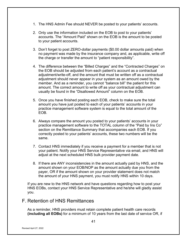- 1. The HNS Admin Fee should NEVER be posted to your patients' accounts.
- 2. Only use the information included on the EOB to post to your patients' accounts. The "Amount Paid" shown on the EOB is the amount to be posted to your patient accounts.
- 3. Don't forget to post ZERO-dollar payments (\$0.00 dollar amounts paid) when no payment was made by the insurance company and, as applicable, write off the charge or transfer the amount to "patient responsibility".
- 4. The difference between the "Billed Charges" and the "Contracted Charges" on the EOB should be adjusted from each patient's account as a contractual adjustment/write-off, and the amount that must be written off as a contractual adjustment should never appear in your system as an amount owed by the member. And as a reminder, you cannot "balance bill" the patient for this amount. The correct amount to write off as your contractual adjustment can usually be found in the "Disallowed Amount" column on the EOB.
- 5. Once you have finished posting each EOB, check to make sure the total amount you have just posted to each of your patients' accounts in your practice management software system is equal to the total amount of the EOB.
- 6. Always compare the amount you posted to your patients' accounts in your practice management software to the TOTAL column of the "Paid by Ins Co" section on the Remittance Summary that accompanies each EOB. If you correctly posted to your patients' accounts, these two numbers will be the same.
- 7. Contact HNS immediately if you receive a payment for a member that is not your patient. Notify your HNS Service Representative via email, and HNS will adjust at the next scheduled HNS bulk provider payment date.
- 8. If there are ANY inconsistencies in the amount actually paid by HNS, and the amount shown on your EOB/NOP as the amount actually due you from the payer, OR if the amount shown on your provider statement does not match the amount of your HNS payment, you must notify HNS within 10 days.

If you are new to the HNS network and have questions regarding how to post your HNS EOBs, contact your HNS Service Representative and he/she will gladly assist you.

### <span id="page-40-0"></span>F. Retention of HNS Remittances

As a reminder, HNS providers must retain complete patient health care records **(including all EOBs)** for a minimum of 10 years from the last date of service OR, if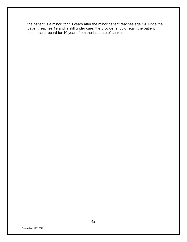the patient is a minor, for 10 years after the minor patient reaches age 19. Once the patient reaches 19 and is still under care, the provider should retain the patient health care record for 10 years from the last date of service.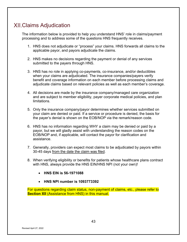# <span id="page-42-0"></span>Claims Adjudication

The information below is provided to help you understand HNS' role in claims/payment processing and to address some of the questions HNS frequently receives.

- 1. HNS does not adjudicate or "process" your claims. HNS forwards all claims to the applicable payor, and payors adjudicate the claims.
- 2. HNS makes no decisions regarding the payment or denial of any services submitted to the payers through HNS.
- 3. HNS has no role in applying co-payments, co-insurance, and/or deductibles when your claims are adjudicated. The insurance companies/payers verify benefit and coverage information on each member before processing claims and adjudicate claims based on relevant policies as well as each member's coverage.
- 4. All decisions are made by the insurance company/managed care organization and are subject to member eligibility, payer corporate medical policies, and plan limitations.
- 5. Only the insurance company/payor determines whether services submitted on your claim are denied or paid. If a service or procedure is denied, the basis for the payer's denial is shown on the EOB/NOP via the remark/reason code.
- 6. HNS has no information regarding WHY a claim may be denied or paid by a payor, but we will gladly assist with understanding the reason codes on the EOB/NOP and, if applicable, will contact the payor for clarification and assistance.
- 7. Generally, providers can expect most claims to be adjudicated by payors within 30-45 days from the date the claim was filed.
- 8. When verifying eligibility or benefits for patients whose healthcare plans contract with HNS, always provide the HNS EIN/HNS NPI (not your own)!
	- **HNS EIN is 56-1971088**
	- **HNS NPI number is 1093773392**

For questions regarding claim status, non-payment of claims, etc., please refer to **Section XII** (Assistance from HNS) in this manual.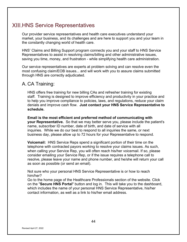# <span id="page-43-0"></span>**XIII.HNS Service Representatives**

Our provider service representatives and health care executives understand your market, your business, and its challenges and are here to support you and your team in the constantly changing world of health care.

HNS' Claims and Billing Support program connects you and your staff to HNS Service Representatives to assist in resolving claims/billing and other administrative issues, saving you time, money, and frustration - while simplifying health care administration.

Our service representatives are experts at problem solving and can resolve even the most confusing claim/EOB issues... and will work with you to assure claims submitted through HNS are correctly adjudicated.

### <span id="page-43-1"></span>A. CA Training:

HNS offers free training for new billing CAs and refresher training for existing staff.Training is designed to improve efficiency and productivity in your practice and to help you improve compliance to policies, laws, and regulations, reduce your claim denials and improve cash flow. **Just contact your HNS Service Representative to schedule.**

**Email is the most efficient and preferred method of communicating with your Representative.** So that we may better serve you, please include the patient's name, subscriber ID number, date of birth, and date of service with all inquiries. While we do our best to respond to all inquiries the same, or next business day, please allow up to 72 hours for your Representative to respond.

**Voicemail:** HNS Service Reps spend a significant portion of their time on the telephone with contracted payors working to resolve your claims issues. As such, when calling your Service Rep, you will often reach his/her voicemail. If so, please consider emailing your Service Rep, or if the issue requires a telephone call to resolve, please leave your name and phone number, and he/she will return your call as soon as possible (or send an email).

Not sure who your personal HNS Service Representative is or how to reach him/her?

Go to the home page of the Healthcare Professionals section of the website. Click on the "**Secure HNS Portal**" button and log in. This will take you to the dashboard, which includes the name of your personal HNS Service Representative, his/her contact information, as well as a link to his/her email address.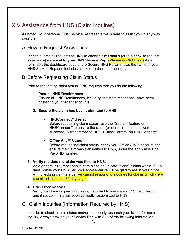# <span id="page-44-0"></span>Assistance from HNS (Claim Inquires)

As noted, your personal HNS Service Representative is here to assist you in any way possible.

### <span id="page-44-1"></span>A. How to Request Assistance

Please submit all requests to HNS to check claims status (or to otherwise request assistance) via **email to your HNS Service Rep**. **(Please do NOT fax.)** As a reminder, the dashboard page of the Secure HNS Portal shows the name of your HNS Service Rep and includes a link to his/her email address.

### <span id="page-44-2"></span>B. Before Requesting Claim Status

Prior to requesting claim status, HNS requires that you do the following:

#### **1. Post all HNS Remittances**

Ensure all HNS Remittances, including the most recent one, have been posted to your patient accounts.

#### **2. Ensure the claim has been submitted to HNS.**

#### • **HNSConnect® Users:**

Before requesting claim status, use the "Search" feature on HNSConnect<sup>®</sup> to ensure the claim (or claims) in question were successfully transmitted to HNS. (Check "errors" on HNSConnect®.)

#### • **Office AllyTM Users:**

Before requesting claim status, check your Office Ally™ account and ensure the claim was transmitted to HNS, under the applicable HNS Payor ID number.

#### **3. Verify the date the claim was filed to HNS.**

As a general rule, most health care plans adjudicate "clean" claims within 30-45 days. While your HNS Service Representative will be glad to assist your office with checking claim status, we cannot respond to inquiries for claims which were submitted less than 30 days ago.

#### **4. HNS Error Reports**

Verify the claim in question was not returned to you via an HNS Error Report, and if so, confirm it has been correctly resubmitted to HNS.

### <span id="page-44-3"></span>C. Claim Inquiries (Information Required by HNS)

In order to check claims status and/or to properly research your issue, for each inquiry, always provide your Service Rep with ALL of the following information: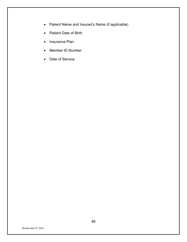- Patient Name and Insured's Name (if applicable)
- Patient Date of Birth
- Insurance Plan
- Member ID Number
- Date of Service